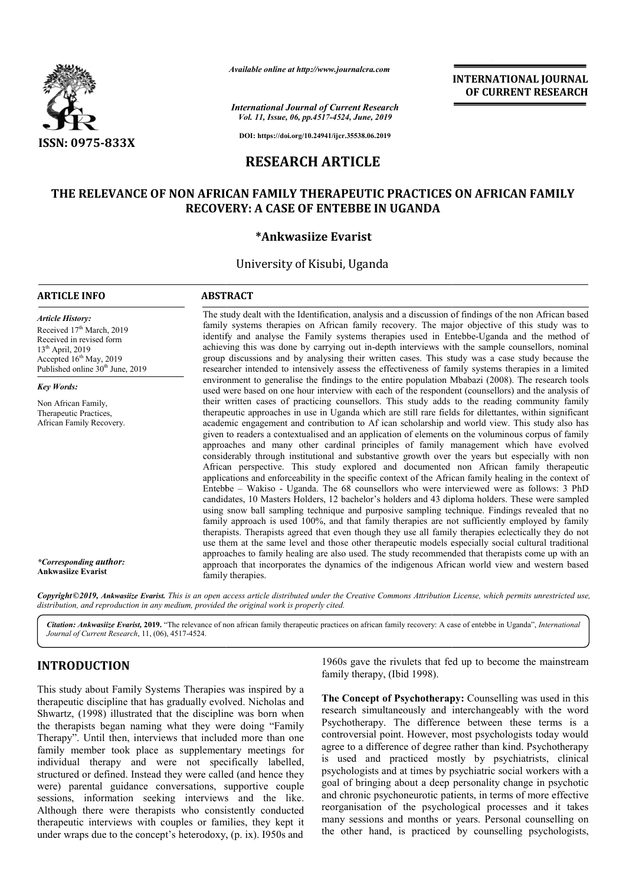

*Available online at http://www.journalcra.com*

*International Journal of Current Research Vol. 11, Issue, 06, pp.4517-4524, June, 2019*

**DOI: https://doi.org/10.24941/ijcr.35538.06.2019**

# **RESEARCH ARTICLE**

# **THE RELEVANCE OF NON AFRICAN FAMILY THERAPEUTIC PRACTICES ON AFRICAN FAMILY RECOVERY RECOVERY: A CASE OF ENTEBBE IN UGANDA**

## **\*Ankwasiize Evarist**

## University of Kisubi, Uganda

## **ARTICLE INFO ABSTRACT**

*Article History:* Received 17<sup>th</sup> March, 2019 Received in revised form 13th April, 2019 Accepted 16<sup>th</sup> May, 2019 Published online 30<sup>th</sup> June, 2019

*Key Words:*

Non African Family, Therapeutic Practices, African Family Recovery. family systems therapies on African family recovery. The major objective of this study was to identify and analyse the Family systems therapies used in Entebbe-Uganda and the method of achieving this was done by carrying out in-depth interviews with the sample counsellors, nominal group discussions and by analysing their written cases. This study was a case study because the p researcher intended to intensively assess the effectiveness of family systems therapies in a limited environment to generalise the findings to the entire population Mbabazi (2008). The research tools used were based on one hour interview with each of the respondent (counsellors) and the analysis of their written cases of practicing counsellors. This study adds to the reading community family therapeutic approaches in use in Uganda which are still rare fields for dilettantes, within significant academic engagement and contribution to Af ican scholarship and world view. This study also has achieving this was done by carrying out in-depth interviews with the sample counsellors, nominal<br>group discussions and by analysing their written cases. This study was a case study because the<br>researcher intended to intens approaches and many other cardinal principles of family management which have evolved considerably through institutional and substantive growth over the years but especially with non African perspective. This study explored and documented non African family therapeutic applications and enforceability in the specific context of the African family healing in the context of Entebbe – Wakiso - Uganda. The 68 counsellors who were interviewed were as follows: 3 PhD candidates, 10 Masters Holder Holders, 12 bachelor's holders and 43 diploma holders. These were sampled using snow ball sampling technique and purposive sampling technique. Findings revealed that no family approach is used 100%, and that family therapies are not sufficiently employed by family therapists. Therapists agreed that even though they use all family therapies eclectically they do not use them at the same level and those other therapeutic models especially social cultural traditional approaches to family healing are also used. The study recommended that therapists come up with an approach that incorporates the dynamics of the indigenous African world view and western based family therapies. the Identification, analysis and a discussion of findings of the non African based<br>apies on African family recovery. The major objective of this study was to<br>the Family systems therapies used in Entebbe-Uganda and the meth and many other cardinal principles of family management which have evolved<br>through institutional and substantive growth over the years but especially with non<br>spective. This study explored and documented non African family Therapists agreed that even though they use all family therapies eclectically they do not at the same level and those other therapeutic models especially social cultural traditional is to family healing are also used. The **INTERNATIONAL JOURNAL FROM CONDUCT (THE SET AND THE SET AND A 1974, than 2019)**  $254$ **,**  $454$ **,**  $358$ **,**  $888$ **,**  $888$ **,**  $888$ **,**  $888$ **,**  $888$ **,**  $888$ **,**  $888$ **,**  $888$ **,**  $888$ **,**  $888$ **,**  $888$ **,**  $888$ **,**  $888$ **,**  $888$ **,**  $888$ **,**  $888$ **,**  $888$ **,** 

The study dealt with the Identification, analysis and a discussion of findings of the non African based

**INTERNATIONAL JOURNAL OF CURRENT RESEARCH**

Copyright©2019, Ankwasiize Evarist. This is an open access article distributed under the Creative Commons Attribution License, which permits unrestricted use, *distribution, and reproduction in any medium, provided the original work is properly cited.*

Citation: *Ankwasiize Evarist,* 2019. "The relevance of non african family therapeutic practices on african family recovery: A case of entebbe in Uganda", *International Journal of Current Research*, 11, (06), 4517-4524.

## **INTRODUCTION**

*\*Corresponding author:* **Ankwasiize Evarist**

This study about Family Systems Therapies was inspired by a therapeutic discipline that has gradually evolved. Nicholas and Shwartz, (1998) illustrated that the discipline was born when the therapists began naming what they were doing "Family Therapy". Until then, interviews that included more than one family member took place as supplementary meetings for individual therapy and were not specifically labelled, structured or defined. Instead they were called (and hence they were) parental guidance conversations, supportive couple sessions, information seeking interviews and the like. Although there were therapists who consistently conducted therapeutic interviews with couples or families, they kept it under wraps due to the concept's heterodoxy, (p. ix). I950s and il then, interviews that included more than one<br>er took place as supplementary meetings for<br>erapy and were not specifically labelled,<br>efined. Instead they were called (and hence they<br>l guidance conversations, supportive co

1960s gave the rivulets that fed up to become the mainstream family therapy, (Ibid 1998).

**The Concept of Psychotherapy: Counselling was used in this** research simultaneously and interchangeably with the word Psychotherapy. The difference between these terms is a controversial point. However, most psychologists today would research simultaneously and interchangeably with the word<br>Psychotherapy. The difference between these terms is a<br>controversial point. However, most psychologists today would<br>agree to a difference of degree rather than kind is used and practiced mostly by psychiatrists, clinical psychologists and at times by psychiatric social workers with a goal of bringing about a deep personality change in psychotic and chronic psychoneurotic patients, in terms of more effective reorganisation of the psychological processes and it takes many sessions and months or years. Personal counselling on the other hand, is practiced by counselling psychologists,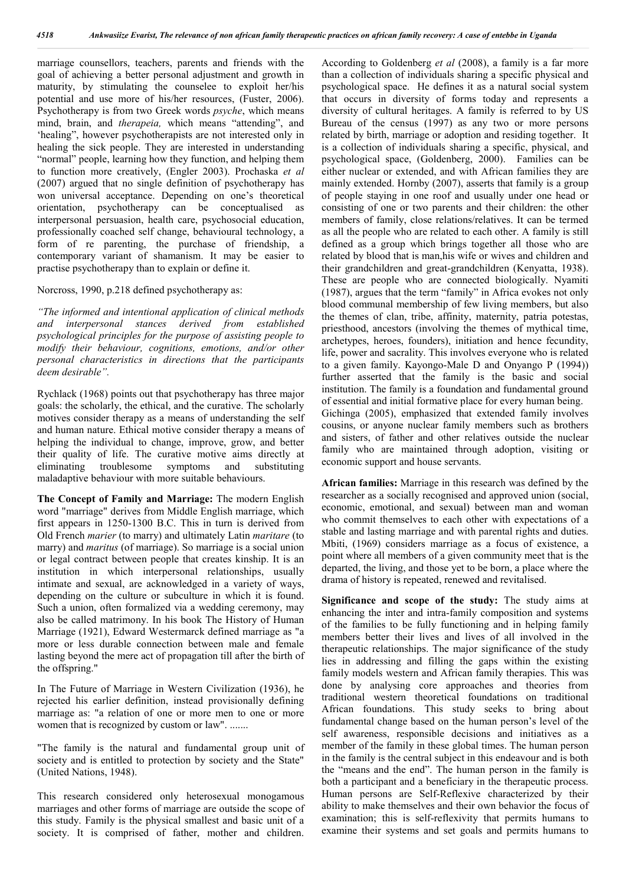marriage counsellors, teachers, parents and friends with the goal of achieving a better personal adjustment and growth in maturity, by stimulating the counselee to exploit her/his potential and use more of his/her resources, (Fuster, 2006). Psychotherapy is from two Greek words *psyche*, which means mind, brain, and *therapeia,* which means "attending", and 'healing", however psychotherapists are not interested only in healing the sick people. They are interested in understanding "normal" people, learning how they function, and helping them to function more creatively, (Engler 2003). Prochaska *et al*  (2007) argued that no single definition of psychotherapy has won universal acceptance. Depending on one's theoretical orientation, psychotherapy can be conceptualised as interpersonal persuasion, health care, psychosocial education, professionally coached self change, behavioural technology, a form of re parenting, the purchase of friendship, a contemporary variant of shamanism. It may be easier to practise psychotherapy than to explain or define it.

#### Norcross, 1990, p.218 defined psychotherapy as:

*"The informed and intentional application of clinical methods and interpersonal stances derived from established psychological principles for the purpose of assisting people to modify their behaviour, cognitions, emotions, and/or other personal characteristics in directions that the participants deem desirable".*

Rychlack (1968) points out that psychotherapy has three major goals: the scholarly, the ethical, and the curative. The scholarly motives consider therapy as a means of understanding the self and human nature. Ethical motive consider therapy a means of helping the individual to change, improve, grow, and better their quality of life. The curative motive aims directly at eliminating troublesome symptoms and substituting maladaptive behaviour with more suitable behaviours.

**The Concept of Family and Marriage:** The modern English word "marriage" derives from Middle English marriage, which first appears in 1250-1300 B.C. This in turn is derived from Old French *marier* (to marry) and ultimately Latin *maritare* (to marry) and *maritus* (of marriage). So marriage is a social union or legal contract between people that creates kinship. It is an institution in which interpersonal relationships, usually intimate and sexual, are acknowledged in a variety of ways, depending on the culture or subculture in which it is found. Such a union, often formalized via a wedding ceremony, may also be called matrimony. In his book The History of Human Marriage (1921), Edward Westermarck defined marriage as "a more or less durable connection between male and female lasting beyond the mere act of propagation till after the birth of the offspring."

In The Future of Marriage in Western Civilization (1936), he rejected his earlier definition, instead provisionally defining marriage as: "a relation of one or more men to one or more women that is recognized by custom or law". .......

"The family is the natural and fundamental group unit of society and is entitled to protection by society and the State" (United Nations, 1948).

This research considered only heterosexual monogamous marriages and other forms of marriage are outside the scope of this study. Family is the physical smallest and basic unit of a society. It is comprised of father, mother and children.

According to Goldenberg *et al* (2008), a family is a far more than a collection of individuals sharing a specific physical and psychological space. He defines it as a natural social system that occurs in diversity of forms today and represents a diversity of cultural heritages. A family is referred to by US Bureau of the census (1997) as any two or more persons related by birth, marriage or adoption and residing together. It is a collection of individuals sharing a specific, physical, and psychological space, (Goldenberg, 2000). Families can be either nuclear or extended, and with African families they are mainly extended. Hornby (2007), asserts that family is a group of people staying in one roof and usually under one head or consisting of one or two parents and their children: the other members of family, close relations/relatives. It can be termed as all the people who are related to each other. A family is still defined as a group which brings together all those who are related by blood that is man,his wife or wives and children and their grandchildren and great-grandchildren (Kenyatta, 1938). These are people who are connected biologically. Nyamiti (1987), argues that the term "family" in Africa evokes not only blood communal membership of few living members, but also the themes of clan, tribe, affinity, maternity, patria potestas, priesthood, ancestors (involving the themes of mythical time, archetypes, heroes, founders), initiation and hence fecundity, life, power and sacrality. This involves everyone who is related to a given family. Kayongo-Male D and Onyango P (1994)) further asserted that the family is the basic and social institution. The family is a foundation and fundamental ground of essential and initial formative place for every human being. Gichinga (2005), emphasized that extended family involves cousins, or anyone nuclear family members such as brothers and sisters, of father and other relatives outside the nuclear family who are maintained through adoption, visiting or economic support and house servants.

**African families:** Marriage in this research was defined by the researcher as a socially recognised and approved union (social, economic, emotional, and sexual) between man and woman who commit themselves to each other with expectations of a stable and lasting marriage and with parental rights and duties. Mbiti, (1969) considers marriage as a focus of existence, a point where all members of a given community meet that is the departed, the living, and those yet to be born, a place where the drama of history is repeated, renewed and revitalised.

**Significance and scope of the study:** The study aims at enhancing the inter and intra-family composition and systems of the families to be fully functioning and in helping family members better their lives and lives of all involved in the therapeutic relationships. The major significance of the study lies in addressing and filling the gaps within the existing family models western and African family therapies. This was done by analysing core approaches and theories from traditional western theoretical foundations on traditional African foundations. This study seeks to bring about fundamental change based on the human person's level of the self awareness, responsible decisions and initiatives as a member of the family in these global times. The human person in the family is the central subject in this endeavour and is both the "means and the end". The human person in the family is both a participant and a beneficiary in the therapeutic process. Human persons are Self-Reflexive characterized by their ability to make themselves and their own behavior the focus of examination; this is self-reflexivity that permits humans to examine their systems and set goals and permits humans to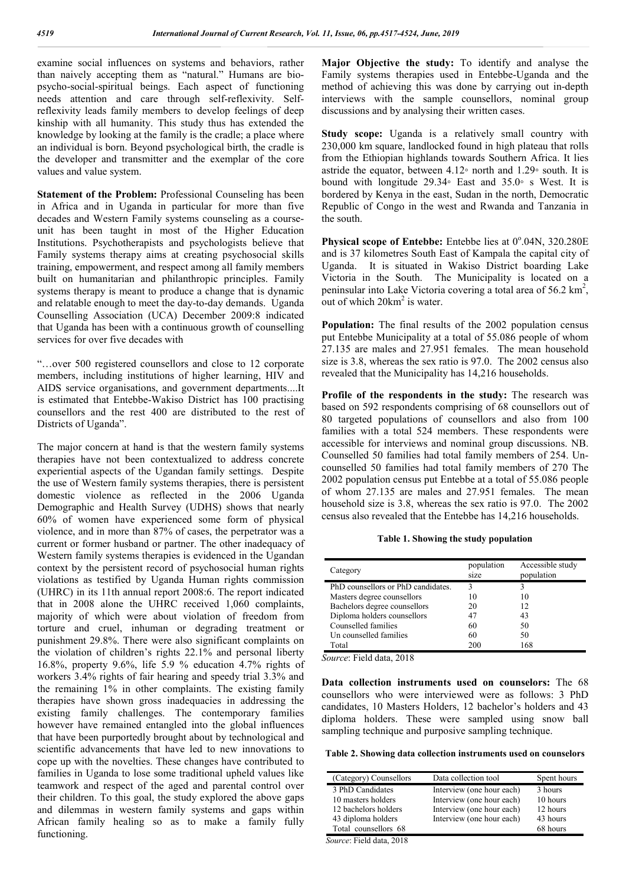examine social influences on systems and behaviors, rather than naively accepting them as "natural." Humans are biopsycho-social-spiritual beings. Each aspect of functioning needs attention and care through self-reflexivity. Selfreflexivity leads family members to develop feelings of deep kinship with all humanity. This study thus has extended the knowledge by looking at the family is the cradle; a place where an individual is born. Beyond psychological birth, the cradle is the developer and transmitter and the exemplar of the core values and value system.

**Statement of the Problem:** Professional Counseling has been in Africa and in Uganda in particular for more than five decades and Western Family systems counseling as a courseunit has been taught in most of the Higher Education Institutions. Psychotherapists and psychologists believe that Family systems therapy aims at creating psychosocial skills training, empowerment, and respect among all family members built on humanitarian and philanthropic principles. Family systems therapy is meant to produce a change that is dynamic and relatable enough to meet the day-to-day demands. Uganda Counselling Association (UCA) December 2009:8 indicated that Uganda has been with a continuous growth of counselling services for over five decades with

"…over 500 registered counsellors and close to 12 corporate members, including institutions of higher learning, HIV and AIDS service organisations, and government departments....It is estimated that Entebbe-Wakiso District has 100 practising counsellors and the rest 400 are distributed to the rest of Districts of Uganda".

The major concern at hand is that the western family systems therapies have not been contextualized to address concrete experiential aspects of the Ugandan family settings. Despite the use of Western family systems therapies, there is persistent domestic violence as reflected in the 2006 Uganda Demographic and Health Survey (UDHS) shows that nearly 60% of women have experienced some form of physical violence, and in more than 87% of cases, the perpetrator was a current or former husband or partner. The other inadequacy of Western family systems therapies is evidenced in the Ugandan context by the persistent record of psychosocial human rights violations as testified by Uganda Human rights commission (UHRC) in its 11th annual report 2008:6. The report indicated that in 2008 alone the UHRC received 1,060 complaints, majority of which were about violation of freedom from torture and cruel, inhuman or degrading treatment or punishment 29.8%. There were also significant complaints on the violation of children's rights 22.1% and personal liberty 16.8%, property 9.6%, life 5.9 % education 4.7% rights of workers 3.4% rights of fair hearing and speedy trial 3.3% and the remaining 1% in other complaints. The existing family therapies have shown gross inadequacies in addressing the existing family challenges. The contemporary families however have remained entangled into the global influences that have been purportedly brought about by technological and scientific advancements that have led to new innovations to cope up with the novelties. These changes have contributed to families in Uganda to lose some traditional upheld values like teamwork and respect of the aged and parental control over their children. To this goal, the study explored the above gaps and dilemmas in western family systems and gaps within African family healing so as to make a family fully functioning.

**Major Objective the study:** To identify and analyse the Family systems therapies used in Entebbe-Uganda and the method of achieving this was done by carrying out in-depth interviews with the sample counsellors, nominal group discussions and by analysing their written cases.

**Study scope:** Uganda is a relatively small country with 230,000 km square, landlocked found in high plateau that rolls from the Ethiopian highlands towards Southern Africa. It lies astride the equator, between 4.12◦ north and 1.29◦ south. It is bound with longitude 29.34◦ East and 35.0◦ s West. It is bordered by Kenya in the east, Sudan in the north, Democratic Republic of Congo in the west and Rwanda and Tanzania in the south.

Physical scope of Entebbe: Entebbe lies at 0°.04N, 320.280E and is 37 kilometres South East of Kampala the capital city of Uganda. It is situated in Wakiso District boarding Lake Victoria in the South. The Municipality is located on a peninsular into Lake Victoria covering a total area of 56.2 km<sup>2</sup>, out of which  $20km^2$  is water.

**Population:** The final results of the 2002 population census put Entebbe Municipality at a total of 55.086 people of whom 27.135 are males and 27.951 females. The mean household size is 3.8, whereas the sex ratio is 97.0. The 2002 census also revealed that the Municipality has 14,216 households.

**Profile of the respondents in the study:** The research was based on 592 respondents comprising of 68 counsellors out of 80 targeted populations of counsellors and also from 100 families with a total 524 members. These respondents were accessible for interviews and nominal group discussions. NB. Counselled 50 families had total family members of 254. Uncounselled 50 families had total family members of 270 The 2002 population census put Entebbe at a total of 55.086 people of whom 27.135 are males and 27.951 females. The mean household size is 3.8, whereas the sex ratio is 97.0. The 2002 census also revealed that the Entebbe has 14,216 households.

**Table 1. Showing the study population**

| Category                           | population<br>size | Accessible study<br>population |
|------------------------------------|--------------------|--------------------------------|
| PhD counsellors or PhD candidates. | 3                  | 3                              |
| Masters degree counsellors         | 10                 | 10                             |
| Bachelors degree counsellors       | 20                 | 12                             |
| Diploma holders counsellors        | 47                 | 43                             |
| Counselled families                | 60                 | 50                             |
| Un counselled families             | 60                 | 50                             |
| Total                              | 200                | 168                            |

*Source*: Field data, 2018

**Data collection instruments used on counselors:** The 68 counsellors who were interviewed were as follows: 3 PhD candidates, 10 Masters Holders, 12 bachelor's holders and 43 diploma holders. These were sampled using snow ball sampling technique and purposive sampling technique.

**Table 2. Showing data collection instruments used on counselors**

| (Category) Counsellors                           | Data collection tool      | Spent hours |
|--------------------------------------------------|---------------------------|-------------|
| 3 PhD Candidates                                 | Interview (one hour each) | 3 hours     |
| 10 masters holders                               | Interview (one hour each) | 10 hours    |
| 12 bachelors holders                             | Interview (one hour each) | 12 hours    |
| 43 diploma holders                               | Interview (one hour each) | 43 hours    |
| Total counsellors 68                             |                           | 68 hours    |
| $\sim$<br>$T'$ $T$ $T$ $T$ $A \wedge A \wedge A$ |                           |             |

 *Source*: Field data, 2018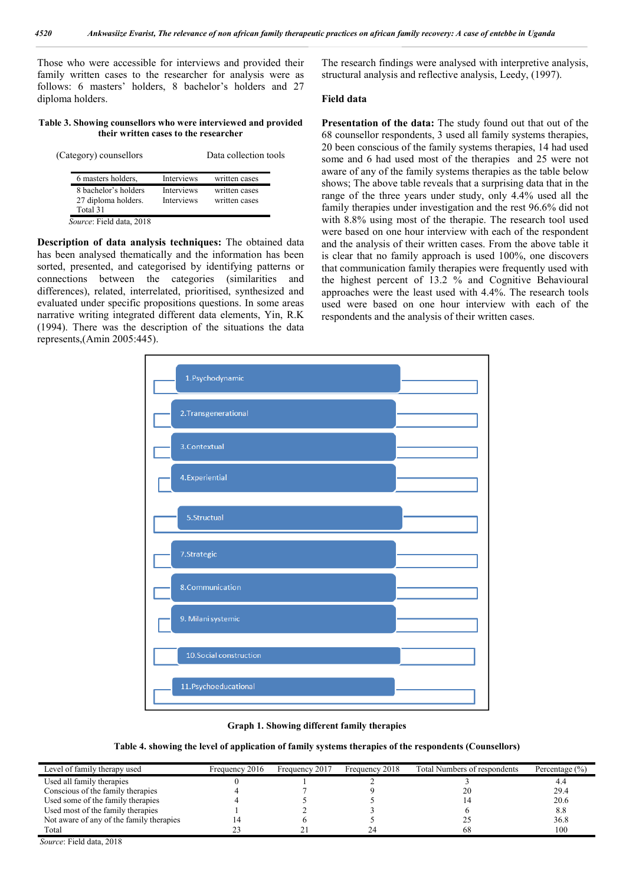Those who were accessible for interviews and provided their family written cases to the researcher for analysis were as follows: 6 masters' holders, 8 bachelor's holders and 27 diploma holders.

#### **Table 3. Showing counsellors who were interviewed and provided their written cases to the researcher**

| (Category) counsellors                                  |                          | Data collection tools          |
|---------------------------------------------------------|--------------------------|--------------------------------|
| 6 masters holders.                                      | Interviews               | written cases                  |
| 8 bachelor's holders<br>27 diploma holders.<br>Total 31 | Interviews<br>Interviews | written cases<br>written cases |
| Source: Field data, 2018                                |                          |                                |

**Description of data analysis techniques:** The obtained data has been analysed thematically and the information has been sorted, presented, and categorised by identifying patterns or connections between the categories (similarities and differences), related, interrelated, prioritised, synthesized and evaluated under specific propositions questions. In some areas narrative writing integrated different data elements, Yin, R.K (1994). There was the description of the situations the data represents,(Amin 2005:445).

The research findings were analysed with interpretive analysis, structural analysis and reflective analysis, Leedy, (1997).

### **Field data**

**Presentation of the data:** The study found out that out of the 68 counsellor respondents, 3 used all family systems therapies, 20 been conscious of the family systems therapies, 14 had used some and 6 had used most of the therapies and 25 were not aware of any of the family systems therapies as the table below shows; The above table reveals that a surprising data that in the range of the three years under study, only 4.4% used all the family therapies under investigation and the rest 96.6% did not with 8.8% using most of the therapie. The research tool used were based on one hour interview with each of the respondent and the analysis of their written cases. From the above table it is clear that no family approach is used 100%, one discovers that communication family therapies were frequently used with the highest percent of 13.2 % and Cognitive Behavioural approaches were the least used with 4.4%. The research tools used were based on one hour interview with each of the respondents and the analysis of their written cases.



**Graph 1. Showing different family therapies**

**Table 4. showing the level of application of family systems therapies of the respondents (Counsellors)**

| Level of family therapy used             | Frequency 2016 | Frequency 2017 | Frequency 2018 | Total Numbers of respondents | Percentage $(\% )$ |
|------------------------------------------|----------------|----------------|----------------|------------------------------|--------------------|
| Used all family therapies                |                |                |                |                              | 4.4                |
| Conscious of the family therapies        |                |                |                | 20                           | 29.4               |
| Used some of the family therapies        |                |                |                |                              | 20.6               |
| Used most of the family therapies        |                |                |                |                              | 8.8                |
| Not aware of any of the family therapies |                |                |                |                              | 36.8               |
| Total                                    |                |                |                | 68                           | 100                |

*Source*: Field data, 2018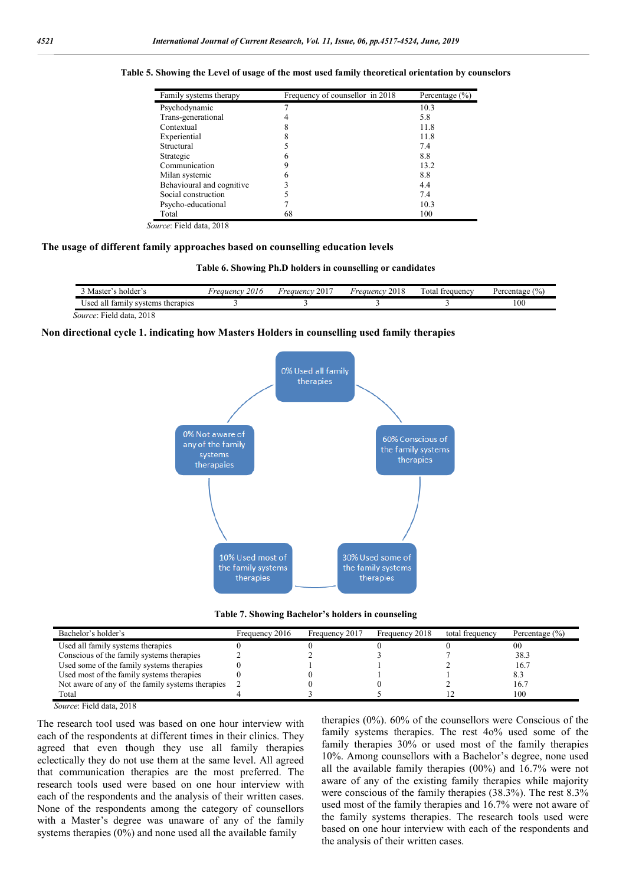| Family systems therapy    | Frequency of counsellor in 2018 | Percentage $(\% )$ |
|---------------------------|---------------------------------|--------------------|
| Psychodynamic             |                                 | 10.3               |
| Trans-generational        |                                 | 5.8                |
| Contextual                |                                 | 11.8               |
| Experiential              |                                 | 11.8               |
| Structural                |                                 | 7.4                |
| Strategic                 |                                 | 8.8                |
| Communication             |                                 | 13.2               |
| Milan systemic            |                                 | 8.8                |
| Behavioural and cognitive |                                 | 4.4                |
| Social construction       |                                 | 7.4                |
| Psycho-educational        |                                 | 10.3               |
| Total                     | 68                              | 100                |

**Table 5. Showing the Level of usage of the most used family theoretical orientation by counselors**

 *Source*: Field data, 2018

#### **The usage of different family approaches based on counselling education levels**

**Table 6. Showing Ph.D holders in counselling or candidates**

| holder<br>Master <sup>*</sup>                   | 2016<br><i>гаиепс</i> | <b>Service</b><br>2017<br>н <i>reauenc</i> y | 2018<br>Freauency | $\sim$<br>otal<br>frequency | var<br>.rentage |
|-------------------------------------------------|-----------------------|----------------------------------------------|-------------------|-----------------------------|-----------------|
| . .<br>tam:<br>systems<br>therapies<br>lsei<br> |                       |                                              |                   |                             | 100             |

*Source*: Field data, 2018

#### **Non directional cycle 1. indicating how Masters Holders in counselling used family therapies**



**Table 7. Showing Bachelor's holders in counseling**

| Bachelor's holder's                              | Frequency 2016 | Frequency 2017 | Frequency 2018 | total frequency | Percentage $(\% )$ |
|--------------------------------------------------|----------------|----------------|----------------|-----------------|--------------------|
| Used all family systems therapies                |                |                |                |                 | 00                 |
| Conscious of the family systems therapies        |                |                |                |                 | 38.3               |
| Used some of the family systems therapies        |                |                |                |                 | 16.7               |
| Used most of the family systems therapies        |                |                |                |                 | 8.3                |
| Not aware of any of the family systems therapies |                |                |                |                 | 16.7               |
| Total                                            |                |                |                |                 | 100                |

 *Source*: Field data, 2018

The research tool used was based on one hour interview with each of the respondents at different times in their clinics. They agreed that even though they use all family therapies eclectically they do not use them at the same level. All agreed that communication therapies are the most preferred. The research tools used were based on one hour interview with each of the respondents and the analysis of their written cases. None of the respondents among the category of counsellors with a Master's degree was unaware of any of the family systems therapies (0%) and none used all the available family

therapies  $(0\%)$ .  $60\%$  of the counsellors were Conscious of the family systems therapies. The rest 4o% used some of the family therapies 30% or used most of the family therapies 10%. Among counsellors with a Bachelor's degree, none used all the available family therapies (00%) and 16.7% were not aware of any of the existing family therapies while majority were conscious of the family therapies (38.3%). The rest 8.3% used most of the family therapies and 16.7% were not aware of the family systems therapies. The research tools used were based on one hour interview with each of the respondents and the analysis of their written cases.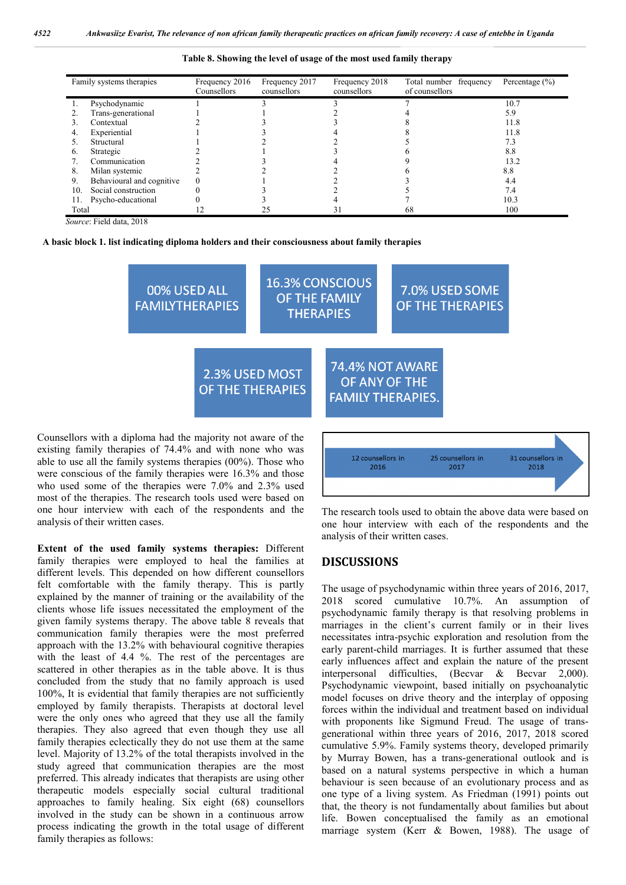|  |  | Table 8. Showing the level of usage of the most used family therapy |
|--|--|---------------------------------------------------------------------|
|  |  |                                                                     |

|                | Family systems therapies  | Frequency 2016<br>Counsellors | Frequency 2017<br>counsellors | Frequency 2018<br>counsellors | Total number frequency<br>of counsellors | Percentage $(\% )$ |
|----------------|---------------------------|-------------------------------|-------------------------------|-------------------------------|------------------------------------------|--------------------|
|                |                           |                               |                               |                               |                                          |                    |
|                | Psychodynamic             |                               |                               |                               |                                          | 10.7               |
|                | Trans-generational        |                               |                               |                               |                                          | 5.9                |
|                | Contextual                |                               |                               |                               |                                          | 11.8               |
|                | Experiential              |                               |                               |                               |                                          | 11.8               |
|                | Structural                |                               |                               |                               |                                          | 7.3                |
| $\mathbf{6}$ . | Strategic                 |                               |                               |                               |                                          | 8.8                |
|                | Communication             |                               |                               |                               |                                          | 13.2               |
| 8.             | Milan systemic            |                               |                               |                               |                                          | 8.8                |
| 9.             | Behavioural and cognitive |                               |                               |                               |                                          | 4.4                |
| 10.            | Social construction       |                               |                               |                               |                                          | 7.4                |
|                | Psycho-educational        |                               |                               |                               |                                          | 10.3               |
| Total          |                           |                               |                               | 3 I                           | 68                                       | 100                |

 *Source*: Field data, 2018



| 00% USED ALL<br><b>FAMILYTHERAPIES</b>    |                                           | <b>16.3% CONSCIOUS</b><br>OF THE FAMILY<br><b>THERAPIES</b> |               | 7.0% USED SOME<br><b>OF THE THERAPIES</b>   |  |
|-------------------------------------------|-------------------------------------------|-------------------------------------------------------------|---------------|---------------------------------------------|--|
|                                           | 2.3% USED MOST<br><b>OF THE THERAPIES</b> |                                                             | OF ANY OF THE | 74.4% NOT AWARE<br><b>FAMILY THERAPIES.</b> |  |
| linlama had the majority not aware of the |                                           |                                                             |               |                                             |  |

Counsellors with a diploma had the majority not aware of the existing family therapies of 74.4% and with none who was able to use all the family systems therapies (00%). Those who were conscious of the family therapies were 16.3% and those who used some of the therapies were 7.0% and 2.3% used most of the therapies. The research tools used were based on one hour interview with each of the respondents and the analysis of their written cases.

**Extent of the used family systems therapies:** Different family therapies were employed to heal the families at different levels. This depended on how different counsellors felt comfortable with the family therapy. This is partly explained by the manner of training or the availability of the clients whose life issues necessitated the employment of the given family systems therapy. The above table 8 reveals that communication family therapies were the most preferred approach with the 13.2% with behavioural cognitive therapies with the least of 4.4 %. The rest of the percentages are scattered in other therapies as in the table above. It is thus concluded from the study that no family approach is used 100%, It is evidential that family therapies are not sufficiently employed by family therapists. Therapists at doctoral level were the only ones who agreed that they use all the family therapies. They also agreed that even though they use all family therapies eclectically they do not use them at the same level. Majority of 13.2% of the total therapists involved in the study agreed that communication therapies are the most preferred. This already indicates that therapists are using other therapeutic models especially social cultural traditional approaches to family healing. Six eight (68) counsellors involved in the study can be shown in a continuous arrow process indicating the growth in the total usage of different family therapies as follows:



The research tools used to obtain the above data were based on one hour interview with each of the respondents and the analysis of their written cases.

## **DISCUSSIONS**

The usage of psychodynamic within three years of 2016, 2017, 2018 scored cumulative 10.7%. An assumption of psychodynamic family therapy is that resolving problems in marriages in the client's current family or in their lives necessitates intra-psychic exploration and resolution from the early parent-child marriages. It is further assumed that these early influences affect and explain the nature of the present interpersonal difficulties, (Becvar & Becvar 2,000). Psychodynamic viewpoint, based initially on psychoanalytic model focuses on drive theory and the interplay of opposing forces within the individual and treatment based on individual with proponents like Sigmund Freud. The usage of transgenerational within three years of 2016, 2017, 2018 scored cumulative 5.9%. Family systems theory, developed primarily by Murray Bowen, has a trans-generational outlook and is based on a natural systems perspective in which a human behaviour is seen because of an evolutionary process and as one type of a living system. As Friedman (1991) points out that, the theory is not fundamentally about families but about life. Bowen conceptualised the family as an emotional marriage system (Kerr & Bowen, 1988). The usage of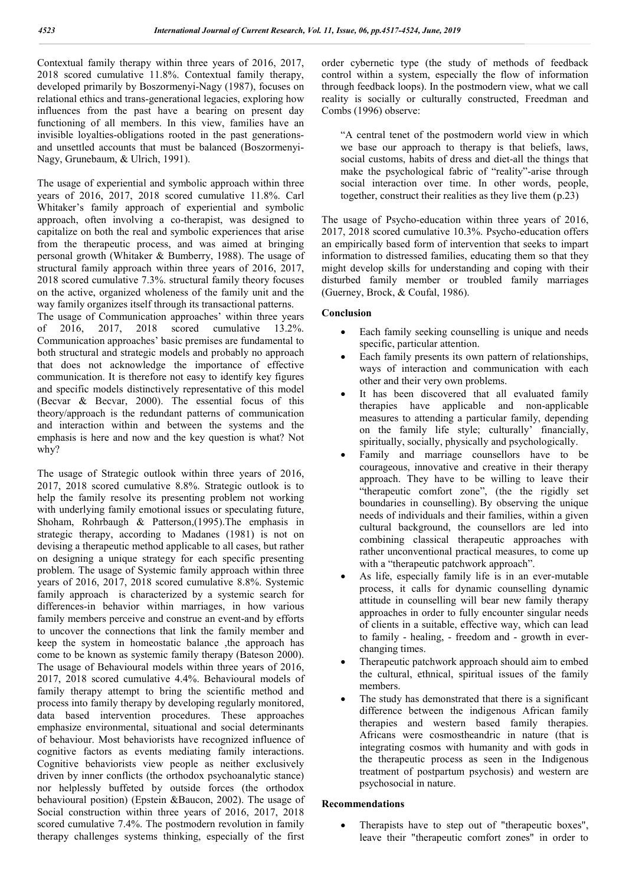Contextual family therapy within three years of 2016, 2017, 2018 scored cumulative 11.8%. Contextual family therapy, developed primarily by Boszormenyi-Nagy (1987), focuses on relational ethics and trans-generational legacies, exploring how influences from the past have a bearing on present day functioning of all members. In this view, families have an invisible loyalties-obligations rooted in the past generationsand unsettled accounts that must be balanced (Boszormenyi-Nagy, Grunebaum, & Ulrich, 1991).

The usage of experiential and symbolic approach within three years of 2016, 2017, 2018 scored cumulative 11.8%. Carl Whitaker's family approach of experiential and symbolic approach, often involving a co-therapist, was designed to capitalize on both the real and symbolic experiences that arise from the therapeutic process, and was aimed at bringing personal growth (Whitaker & Bumberry, 1988). The usage of structural family approach within three years of 2016, 2017, 2018 scored cumulative 7.3%. structural family theory focuses on the active, organized wholeness of the family unit and the way family organizes itself through its transactional patterns. The usage of Communication approaches' within three years of 2016, 2017, 2018 scored cumulative 13.2%. Communication approaches' basic premises are fundamental to

both structural and strategic models and probably no approach that does not acknowledge the importance of effective communication. It is therefore not easy to identify key figures and specific models distinctively representative of this model (Becvar & Becvar, 2000). The essential focus of this theory/approach is the redundant patterns of communication and interaction within and between the systems and the emphasis is here and now and the key question is what? Not why?

The usage of Strategic outlook within three years of 2016, 2017, 2018 scored cumulative 8.8%. Strategic outlook is to help the family resolve its presenting problem not working with underlying family emotional issues or speculating future, Shoham, Rohrbaugh & Patterson,(1995).The emphasis in strategic therapy, according to Madanes (1981) is not on devising a therapeutic method applicable to all cases, but rather on designing a unique strategy for each specific presenting problem. The usage of Systemic family approach within three years of 2016, 2017, 2018 scored cumulative 8.8%. Systemic family approach is characterized by a systemic search for differences-in behavior within marriages, in how various family members perceive and construe an event-and by efforts to uncover the connections that link the family member and keep the system in homeostatic balance ,the approach has come to be known as systemic family therapy (Bateson 2000). The usage of Behavioural models within three years of 2016, 2017, 2018 scored cumulative 4.4%. Behavioural models of family therapy attempt to bring the scientific method and process into family therapy by developing regularly monitored, data based intervention procedures. These approaches emphasize environmental, situational and social determinants of behaviour. Most behaviorists have recognized influence of cognitive factors as events mediating family interactions. Cognitive behaviorists view people as neither exclusively driven by inner conflicts (the orthodox psychoanalytic stance) nor helplessly buffeted by outside forces (the orthodox behavioural position) (Epstein &Baucon, 2002). The usage of Social construction within three years of 2016, 2017, 2018 scored cumulative 7.4%. The postmodern revolution in family therapy challenges systems thinking, especially of the first order cybernetic type (the study of methods of feedback control within a system, especially the flow of information through feedback loops). In the postmodern view, what we call reality is socially or culturally constructed, Freedman and Combs (1996) observe:

"A central tenet of the postmodern world view in which we base our approach to therapy is that beliefs, laws, social customs, habits of dress and diet-all the things that make the psychological fabric of "reality"-arise through social interaction over time. In other words, people, together, construct their realities as they live them (p.23)

The usage of Psycho-education within three years of 2016, 2017, 2018 scored cumulative 10.3%. Psycho-education offers an empirically based form of intervention that seeks to impart information to distressed families, educating them so that they might develop skills for understanding and coping with their disturbed family member or troubled family marriages (Guerney, Brock, & Coufal, 1986).

## **Conclusion**

- Each family seeking counselling is unique and needs specific, particular attention.
- Each family presents its own pattern of relationships, ways of interaction and communication with each other and their very own problems.
- It has been discovered that all evaluated family therapies have applicable and non-applicable measures to attending a particular family, depending on the family life style; culturally' financially, spiritually, socially, physically and psychologically.
- Family and marriage counsellors have to be courageous, innovative and creative in their therapy approach. They have to be willing to leave their "therapeutic comfort zone", (the the rigidly set boundaries in counselling). By observing the unique needs of individuals and their families, within a given cultural background, the counsellors are led into combining classical therapeutic approaches with rather unconventional practical measures, to come up with a "therapeutic patchwork approach".
- As life, especially family life is in an ever-mutable process, it calls for dynamic counselling dynamic attitude in counselling will bear new family therapy approaches in order to fully encounter singular needs of clients in a suitable, effective way, which can lead to family - healing, - freedom and - growth in everchanging times.
- Therapeutic patchwork approach should aim to embed the cultural, ethnical, spiritual issues of the family members.
- The study has demonstrated that there is a significant difference between the indigenous African family therapies and western based family therapies. Africans were cosmostheandric in nature (that is integrating cosmos with humanity and with gods in the therapeutic process as seen in the Indigenous treatment of postpartum psychosis) and western are psychosocial in nature.

#### **Recommendations**

 Therapists have to step out of "therapeutic boxes", leave their "therapeutic comfort zones" in order to